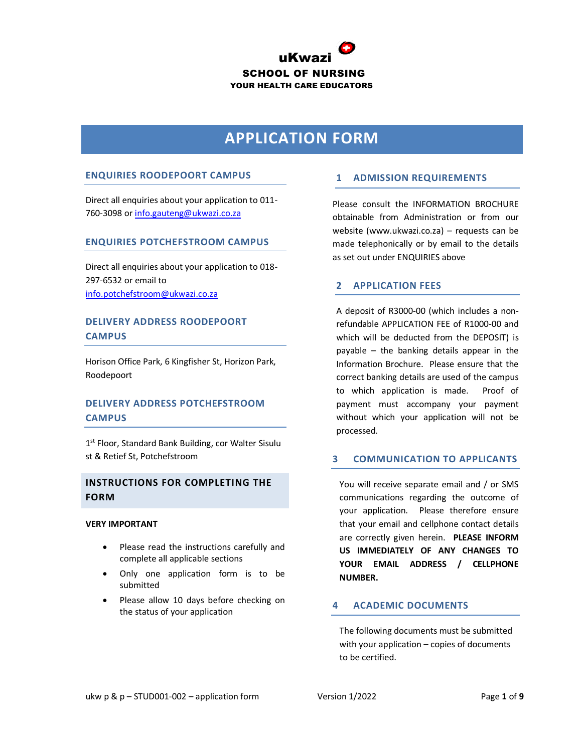

# **APPLICATION FORM**

### **ENQUIRIES ROODEPOORT CAMPUS**

Direct all enquiries about your application to 011- 760-3098 or [info.gauteng@ukwazi.co.za](mailto:info.gauteng@ukwazi.co.za)

#### **ENQUIRIES POTCHEFSTROOM CAMPUS**

Direct all enquiries about your application to 018- 297-6532 or email to [info.potchefstroom@ukwazi.co.za](mailto:info.potchefstroom@ukwazi.co.za)

# **DELIVERY ADDRESS ROODEPOORT CAMPUS**

Horison Office Park, 6 Kingfisher St, Horizon Park, Roodepoort

# **DELIVERY ADDRESS POTCHEFSTROOM CAMPUS**

1 st Floor, Standard Bank Building, cor Walter Sisulu st & Retief St, Potchefstroom

## **INSTRUCTIONS FOR COMPLETING THE FORM**

#### **VERY IMPORTANT**

- Please read the instructions carefully and complete all applicable sections
- Only one application form is to be submitted
- Please allow 10 days before checking on the status of your application

## **1 ADMISSION REQUIREMENTS**

Please consult the INFORMATION BROCHURE obtainable from Administration or from our website (www.ukwazi.co.za) – requests can be made telephonically or by email to the details as set out under ENQUIRIES above

#### **2 APPLICATION FEES**

A deposit of R3000-00 (which includes a nonrefundable APPLICATION FEE of R1000-00 and which will be deducted from the DEPOSIT) is payable – the banking details appear in the Information Brochure. Please ensure that the correct banking details are used of the campus to which application is made. Proof of payment must accompany your payment without which your application will not be processed.

### **3 COMMUNICATION TO APPLICANTS**

You will receive separate email and / or SMS communications regarding the outcome of your application. Please therefore ensure that your email and cellphone contact details are correctly given herein. **PLEASE INFORM US IMMEDIATELY OF ANY CHANGES TO YOUR EMAIL ADDRESS / CELLPHONE NUMBER.**

# **4 ACADEMIC DOCUMENTS**

The following documents must be submitted with your application – copies of documents to be certified.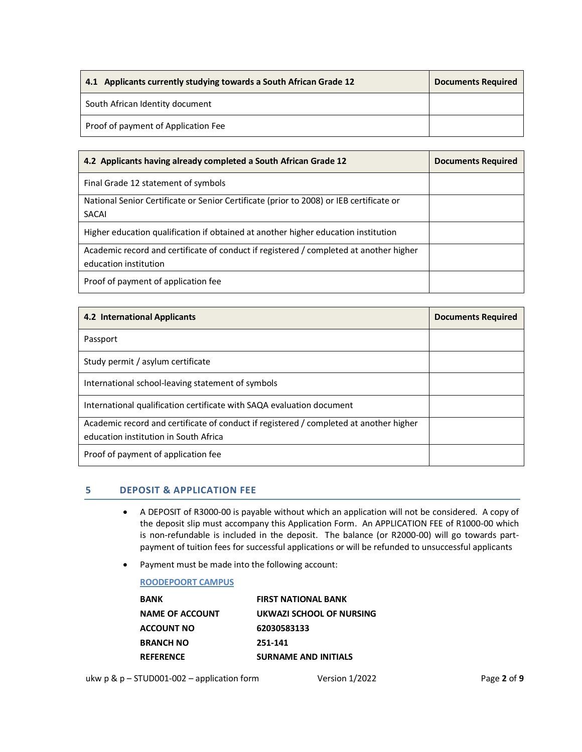| 4.1 Applicants currently studying towards a South African Grade 12 | <b>Documents Required</b> |
|--------------------------------------------------------------------|---------------------------|
| South African Identity document                                    |                           |
| Proof of payment of Application Fee                                |                           |

| 4.2 Applicants having already completed a South African Grade 12                        | <b>Documents Required</b> |
|-----------------------------------------------------------------------------------------|---------------------------|
| Final Grade 12 statement of symbols                                                     |                           |
| National Senior Certificate or Senior Certificate (prior to 2008) or IEB certificate or |                           |
| <b>SACAI</b>                                                                            |                           |
| Higher education qualification if obtained at another higher education institution      |                           |
| Academic record and certificate of conduct if registered / completed at another higher  |                           |
| education institution                                                                   |                           |
| Proof of payment of application fee                                                     |                           |

| <b>4.2 International Applicants</b>                                                                                             | <b>Documents Required</b> |
|---------------------------------------------------------------------------------------------------------------------------------|---------------------------|
| Passport                                                                                                                        |                           |
| Study permit / asylum certificate                                                                                               |                           |
| International school-leaving statement of symbols                                                                               |                           |
| International qualification certificate with SAQA evaluation document                                                           |                           |
| Academic record and certificate of conduct if registered / completed at another higher<br>education institution in South Africa |                           |
| Proof of payment of application fee                                                                                             |                           |

## **5 DEPOSIT & APPLICATION FEE**

- A DEPOSIT of R3000-00 is payable without which an application will not be considered. A copy of the deposit slip must accompany this Application Form. An APPLICATION FEE of R1000-00 which is non-refundable is included in the deposit. The balance (or R2000-00) will go towards partpayment of tuition fees for successful applications or will be refunded to unsuccessful applicants
- Payment must be made into the following account:

## **ROODEPOORT CAMPUS**

| <b>BANK</b>            | <b>FIRST NATIONAL BANK</b>  |
|------------------------|-----------------------------|
| <b>NAME OF ACCOUNT</b> | UKWAZI SCHOOL OF NURSING    |
| <b>ACCOUNT NO</b>      | 62030583133                 |
| <b>BRANCH NO</b>       | 251-141                     |
| <b>REFERENCE</b>       | <b>SURNAME AND INITIALS</b> |
|                        |                             |

ukw p & p – STUD001-002 – application form Version 1/2022 Page **2** of **9**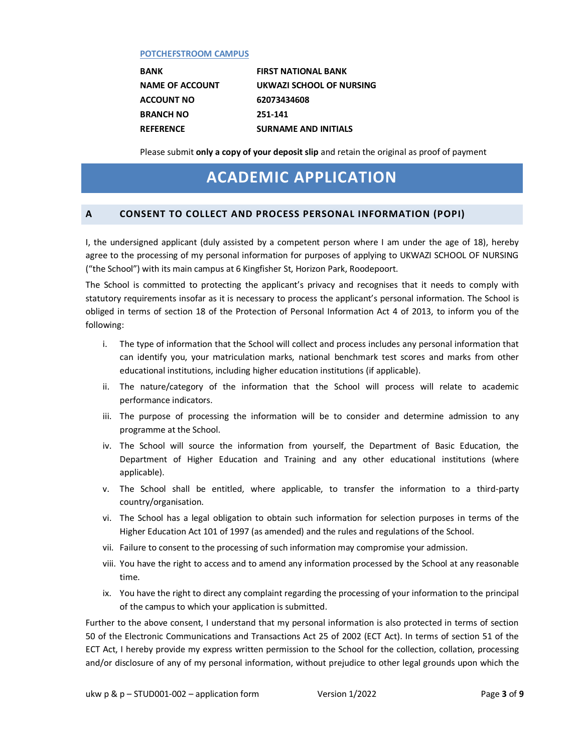#### **POTCHEFSTROOM CAMPUS**

**ACCOUNT NO 62073434608 BRANCH NO 251-141**

**BANK FIRST NATIONAL BANK NAME OF ACCOUNT UKWAZI SCHOOL OF NURSING REFERENCE SURNAME AND INITIALS** 

Please submit **only a copy of your deposit slip** and retain the original as proof of payment

# **ACADEMIC APPLICATION**

## **A CONSENT TO COLLECT AND PROCESS PERSONAL INFORMATION (POPI)**

I, the undersigned applicant (duly assisted by a competent person where I am under the age of 18), hereby agree to the processing of my personal information for purposes of applying to UKWAZI SCHOOL OF NURSING ("the School") with its main campus at 6 Kingfisher St, Horizon Park, Roodepoort.

The School is committed to protecting the applicant's privacy and recognises that it needs to comply with statutory requirements insofar as it is necessary to process the applicant's personal information. The School is obliged in terms of section 18 of the Protection of Personal Information Act 4 of 2013, to inform you of the following:

- i. The type of information that the School will collect and process includes any personal information that can identify you, your matriculation marks, national benchmark test scores and marks from other educational institutions, including higher education institutions (if applicable).
- ii. The nature/category of the information that the School will process will relate to academic performance indicators.
- iii. The purpose of processing the information will be to consider and determine admission to any programme at the School.
- iv. The School will source the information from yourself, the Department of Basic Education, the Department of Higher Education and Training and any other educational institutions (where applicable).
- v. The School shall be entitled, where applicable, to transfer the information to a third-party country/organisation.
- vi. The School has a legal obligation to obtain such information for selection purposes in terms of the Higher Education Act 101 of 1997 (as amended) and the rules and regulations of the School.
- vii. Failure to consent to the processing of such information may compromise your admission.
- viii. You have the right to access and to amend any information processed by the School at any reasonable time.
- ix. You have the right to direct any complaint regarding the processing of your information to the principal of the campus to which your application is submitted.

Further to the above consent, I understand that my personal information is also protected in terms of section 50 of the Electronic Communications and Transactions Act 25 of 2002 (ECT Act). In terms of section 51 of the ECT Act, I hereby provide my express written permission to the School for the collection, collation, processing and/or disclosure of any of my personal information, without prejudice to other legal grounds upon which the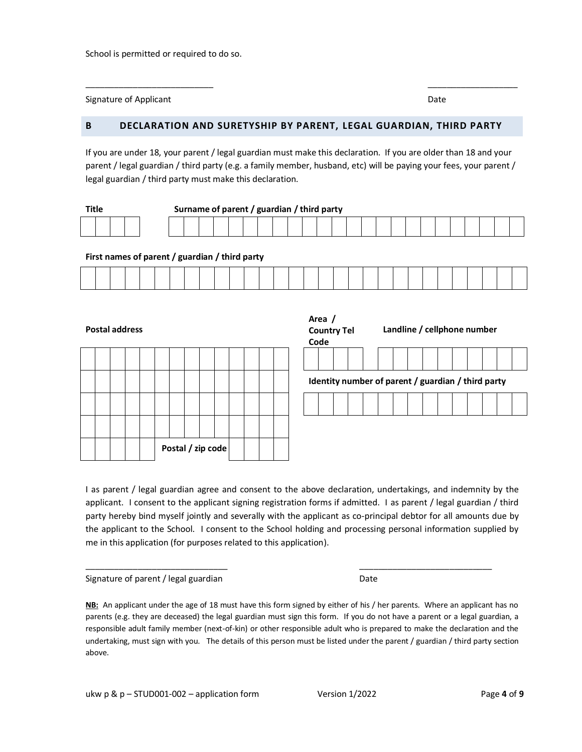School is permitted or required to do so.

Signature of Applicant Date of Applicant Date of Applicant Date of Applicant Date of Applicant Date of Applicant Date of Applicant Date of Applicant Date of Applicant Date of Applicant Date of Applicant Date of Applicant D

## **B DECLARATION AND SURETYSHIP BY PARENT, LEGAL GUARDIAN, THIRD PARTY**

If you are under 18, your parent / legal guardian must make this declaration. If you are older than 18 and your parent / legal guardian / third party (e.g. a family member, husband, etc) will be paying your fees, your parent / legal guardian / third party must make this declaration.

 $\frac{1}{2}$  , the contribution of the contribution of the contribution of the contribution of the contribution of the contribution of the contribution of the contribution of the contribution of the contribution of the contr

| Title |  | Surname of parent / guardian / third party |  |  |  |  |  |  |  |  |  |  |  |  |  |  |  |  |  |  |  |  |  |  |  |  |  |
|-------|--|--------------------------------------------|--|--|--|--|--|--|--|--|--|--|--|--|--|--|--|--|--|--|--|--|--|--|--|--|--|
|       |  |                                            |  |  |  |  |  |  |  |  |  |  |  |  |  |  |  |  |  |  |  |  |  |  |  |  |  |

#### **First names of parent / guardian / third party**

| the contract of the contract of the contract of |  |  |  |  |  | the contract of the contract of the contract of the contract of the contract of the contract of the contract of |  |  |  |  |  |  | the contract of the contract of the contract of the contract of the contract of |  | the contract of the contract of the contract of the contract of the contract of the contract of the contract of |
|-------------------------------------------------|--|--|--|--|--|-----------------------------------------------------------------------------------------------------------------|--|--|--|--|--|--|---------------------------------------------------------------------------------|--|-----------------------------------------------------------------------------------------------------------------|

**Postal address**

|  |  |  | Postal / zip code |  |  |  |  |
|--|--|--|-------------------|--|--|--|--|

| Area /<br>Code                                     | <b>Country Tel</b> |  |  |  | Landline / cellphone number |  |  |  |  |  |  |  |  |  |  |
|----------------------------------------------------|--------------------|--|--|--|-----------------------------|--|--|--|--|--|--|--|--|--|--|
|                                                    |                    |  |  |  |                             |  |  |  |  |  |  |  |  |  |  |
| Identity number of parent / guardian / third party |                    |  |  |  |                             |  |  |  |  |  |  |  |  |  |  |
|                                                    |                    |  |  |  |                             |  |  |  |  |  |  |  |  |  |  |
|                                                    |                    |  |  |  |                             |  |  |  |  |  |  |  |  |  |  |

I as parent / legal guardian agree and consent to the above declaration, undertakings, and indemnity by the applicant. I consent to the applicant signing registration forms if admitted. I as parent / legal guardian / third party hereby bind myself jointly and severally with the applicant as co-principal debtor for all amounts due by the applicant to the School. I consent to the School holding and processing personal information supplied by me in this application (for purposes related to this application).

 $\frac{1}{2}$  ,  $\frac{1}{2}$  ,  $\frac{1}{2}$  ,  $\frac{1}{2}$  ,  $\frac{1}{2}$  ,  $\frac{1}{2}$  ,  $\frac{1}{2}$  ,  $\frac{1}{2}$  ,  $\frac{1}{2}$  ,  $\frac{1}{2}$  ,  $\frac{1}{2}$  ,  $\frac{1}{2}$  ,  $\frac{1}{2}$  ,  $\frac{1}{2}$  ,  $\frac{1}{2}$  ,  $\frac{1}{2}$  ,  $\frac{1}{2}$  ,  $\frac{1}{2}$  ,  $\frac{1$ 

Signature of parent / legal guardian Date Date

**NB:** An applicant under the age of 18 must have this form signed by either of his / her parents. Where an applicant has no parents (e.g. they are deceased) the legal guardian must sign this form. If you do not have a parent or a legal guardian, a responsible adult family member (next-of-kin) or other responsible adult who is prepared to make the declaration and the undertaking, must sign with you. The details of this person must be listed under the parent / guardian / third party section above.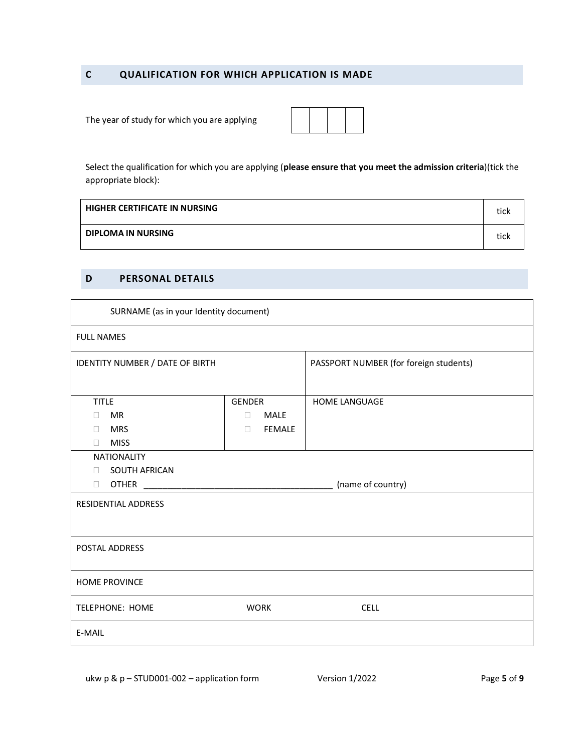# **C QUALIFICATION FOR WHICH APPLICATION IS MADE**

The year of study for which you are applying

Select the qualification for which you are applying (**please ensure that you meet the admission criteria**)(tick the appropriate block):

| <b>HIGHER CERTIFICATE IN NURSING</b> | tick |
|--------------------------------------|------|
| <b>DIPLOMA IN NURSING</b>            | tick |

# **D PERSONAL DETAILS**

| SURNAME (as in your Identity document) |                       |                                        |
|----------------------------------------|-----------------------|----------------------------------------|
| <b>FULL NAMES</b>                      |                       |                                        |
| IDENTITY NUMBER / DATE OF BIRTH        |                       | PASSPORT NUMBER (for foreign students) |
|                                        |                       |                                        |
| <b>TITLE</b>                           | GENDER                | <b>HOME LANGUAGE</b>                   |
| MR<br>П.                               | <b>MALE</b><br>$\Box$ |                                        |
| <b>MRS</b><br>П.                       | <b>FEMALE</b><br>П.   |                                        |
| <b>MISS</b><br>$\Box$                  |                       |                                        |
| <b>NATIONALITY</b>                     |                       |                                        |
| <b>SOUTH AFRICAN</b><br>$\Box$         |                       |                                        |
| <b>OTHER</b><br>П                      |                       | (name of country)                      |
| RESIDENTIAL ADDRESS                    |                       |                                        |
|                                        |                       |                                        |
|                                        |                       |                                        |
| POSTAL ADDRESS                         |                       |                                        |
|                                        |                       |                                        |
| <b>HOME PROVINCE</b>                   |                       |                                        |
|                                        |                       |                                        |
| <b>TELEPHONE: HOME</b>                 | <b>WORK</b>           | <b>CELL</b>                            |
| E-MAIL                                 |                       |                                        |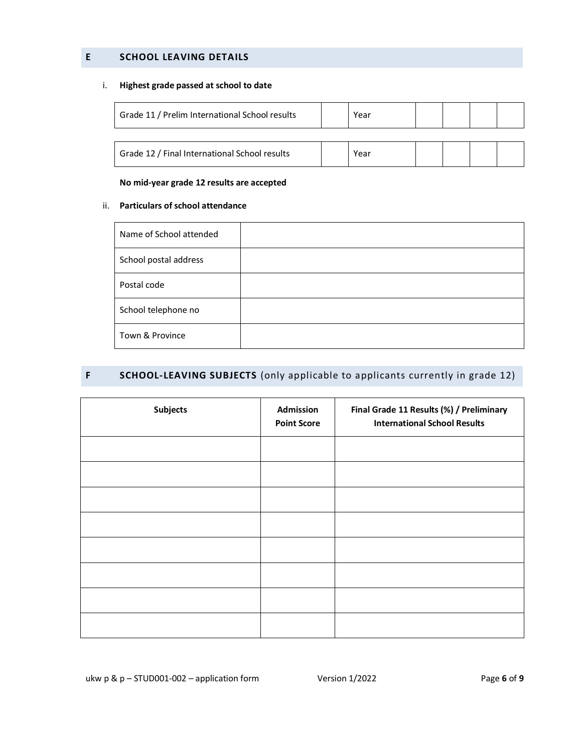# **E SCHOOL LEAVING DETAILS**

## i. **Highest grade passed at school to date**

| Grade 11 / Prelim International School results | Year |  |  |
|------------------------------------------------|------|--|--|
|                                                |      |  |  |
| Grade 12 / Final International School results  | Year |  |  |

#### **No mid-year grade 12 results are accepted**

#### ii. **Particulars of school attendance**

| Name of School attended |  |
|-------------------------|--|
| School postal address   |  |
| Postal code             |  |
| School telephone no     |  |
| Town & Province         |  |

# **F SCHOOL-LEAVING SUBJECTS** (only applicable to applicants currently in grade 12)

| <b>Subjects</b> | Admission<br><b>Point Score</b> | Final Grade 11 Results (%) / Preliminary<br><b>International School Results</b> |  |
|-----------------|---------------------------------|---------------------------------------------------------------------------------|--|
|                 |                                 |                                                                                 |  |
|                 |                                 |                                                                                 |  |
|                 |                                 |                                                                                 |  |
|                 |                                 |                                                                                 |  |
|                 |                                 |                                                                                 |  |
|                 |                                 |                                                                                 |  |
|                 |                                 |                                                                                 |  |
|                 |                                 |                                                                                 |  |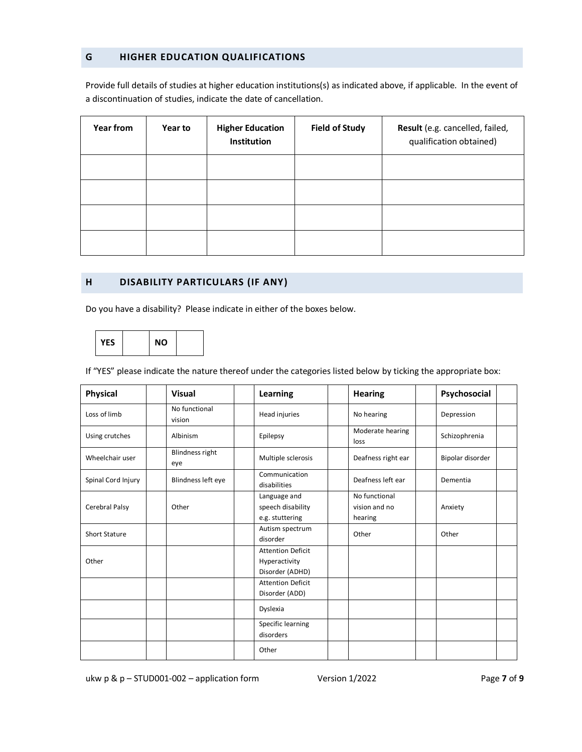# **G HIGHER EDUCATION QUALIFICATIONS**

Provide full details of studies at higher education institutions(s) as indicated above, if applicable. In the event of a discontinuation of studies, indicate the date of cancellation.

| Year from | <b>Year to</b> | <b>Higher Education</b><br>Institution | <b>Field of Study</b> | Result (e.g. cancelled, failed,<br>qualification obtained) |
|-----------|----------------|----------------------------------------|-----------------------|------------------------------------------------------------|
|           |                |                                        |                       |                                                            |
|           |                |                                        |                       |                                                            |
|           |                |                                        |                       |                                                            |
|           |                |                                        |                       |                                                            |

# **H DISABILITY PARTICULARS (IF ANY)**

Do you have a disability? Please indicate in either of the boxes below.



If "YES" please indicate the nature thereof under the categories listed below by ticking the appropriate box:

| <b>Physical</b>      | <b>Visual</b>                 | Learning                                                     | <b>Hearing</b>                            | Psychosocial     |
|----------------------|-------------------------------|--------------------------------------------------------------|-------------------------------------------|------------------|
| Loss of limb         | No functional<br>vision       | Head injuries                                                | No hearing                                | Depression       |
| Using crutches       | Albinism                      | Epilepsy                                                     | Moderate hearing<br>loss                  | Schizophrenia    |
| Wheelchair user      | <b>Blindness right</b><br>eye | Multiple sclerosis                                           | Deafness right ear                        | Bipolar disorder |
| Spinal Cord Injury   | Blindness left eye            | Communication<br>disabilities                                | Deafness left ear                         | Dementia         |
| Cerebral Palsy       | Other                         | Language and<br>speech disability<br>e.g. stuttering         | No functional<br>vision and no<br>hearing | Anxiety          |
| <b>Short Stature</b> |                               | Autism spectrum<br>disorder                                  | Other                                     | Other            |
| Other                |                               | <b>Attention Deficit</b><br>Hyperactivity<br>Disorder (ADHD) |                                           |                  |
|                      |                               | <b>Attention Deficit</b><br>Disorder (ADD)                   |                                           |                  |
|                      |                               | Dyslexia                                                     |                                           |                  |
|                      |                               | Specific learning<br>disorders                               |                                           |                  |
|                      |                               | Other                                                        |                                           |                  |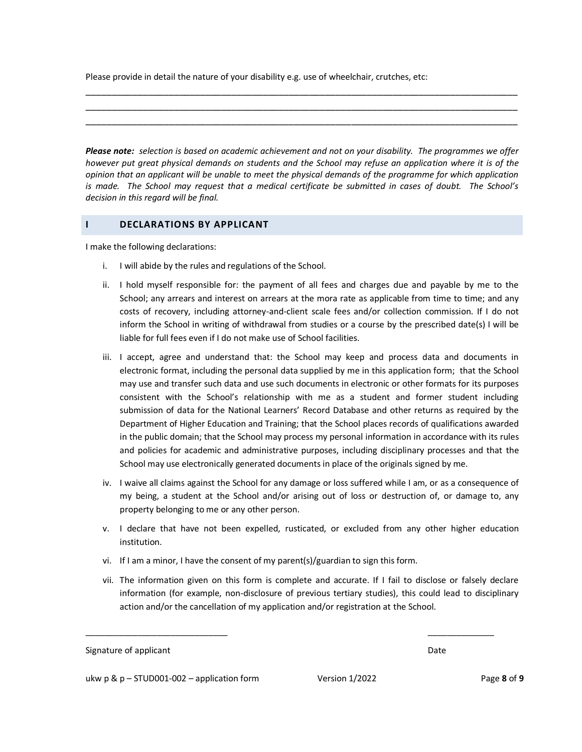Please provide in detail the nature of your disability e.g. use of wheelchair, crutches, etc:

*Please note: selection is based on academic achievement and not on your disability. The programmes we offer however put great physical demands on students and the School may refuse an application where it is of the opinion that an applicant will be unable to meet the physical demands of the programme for which application is made. The School may request that a medical certificate be submitted in cases of doubt. The School's decision in this regard will be final.*

\_\_\_\_\_\_\_\_\_\_\_\_\_\_\_\_\_\_\_\_\_\_\_\_\_\_\_\_\_\_\_\_\_\_\_\_\_\_\_\_\_\_\_\_\_\_\_\_\_\_\_\_\_\_\_\_\_\_\_\_\_\_\_\_\_\_\_\_\_\_\_\_\_\_\_\_\_\_\_\_\_\_\_ \_\_\_\_\_\_\_\_\_\_\_\_\_\_\_\_\_\_\_\_\_\_\_\_\_\_\_\_\_\_\_\_\_\_\_\_\_\_\_\_\_\_\_\_\_\_\_\_\_\_\_\_\_\_\_\_\_\_\_\_\_\_\_\_\_\_\_\_\_\_\_\_\_\_\_\_\_\_\_\_\_\_\_ \_\_\_\_\_\_\_\_\_\_\_\_\_\_\_\_\_\_\_\_\_\_\_\_\_\_\_\_\_\_\_\_\_\_\_\_\_\_\_\_\_\_\_\_\_\_\_\_\_\_\_\_\_\_\_\_\_\_\_\_\_\_\_\_\_\_\_\_\_\_\_\_\_\_\_\_\_\_\_\_\_\_\_

### **I DECLARATIONS BY APPLICANT**

I make the following declarations:

- i. I will abide by the rules and regulations of the School.
- ii. I hold myself responsible for: the payment of all fees and charges due and payable by me to the School; any arrears and interest on arrears at the mora rate as applicable from time to time; and any costs of recovery, including attorney-and-client scale fees and/or collection commission. If I do not inform the School in writing of withdrawal from studies or a course by the prescribed date(s) I will be liable for full fees even if I do not make use of School facilities.
- iii. I accept, agree and understand that: the School may keep and process data and documents in electronic format, including the personal data supplied by me in this application form; that the School may use and transfer such data and use such documents in electronic or other formats for its purposes consistent with the School's relationship with me as a student and former student including submission of data for the National Learners' Record Database and other returns as required by the Department of Higher Education and Training; that the School places records of qualifications awarded in the public domain; that the School may process my personal information in accordance with its rules and policies for academic and administrative purposes, including disciplinary processes and that the School may use electronically generated documents in place of the originals signed by me.
- iv. I waive all claims against the School for any damage or loss suffered while I am, or as a consequence of my being, a student at the School and/or arising out of loss or destruction of, or damage to, any property belonging to me or any other person.
- v. I declare that have not been expelled, rusticated, or excluded from any other higher education institution.
- vi. If I am a minor, I have the consent of my parent(s)/guardian to sign this form.
- vii. The information given on this form is complete and accurate. If I fail to disclose or falsely declare information (for example, non-disclosure of previous tertiary studies), this could lead to disciplinary action and/or the cancellation of my application and/or registration at the School.

 $\overline{\phantom{a}}$  , and the contract of the contract of the contract of the contract of the contract of the contract of the contract of the contract of the contract of the contract of the contract of the contract of the contrac

Signature of applicant **Date** Date of American American Control of American Control of American Control of American Control of American Control of American Control of American Control of American Control of American Contro

ukw p & p – STUD001-002 – application form Version 1/2022 Page **8** of **9**